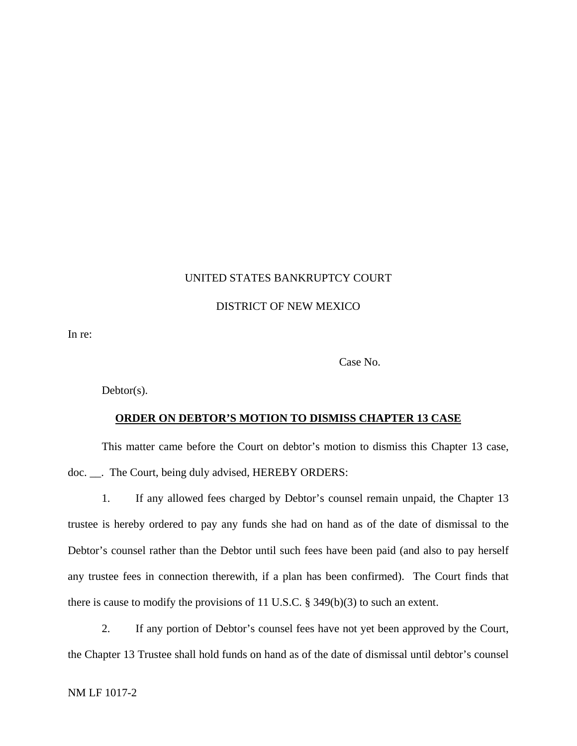## UNITED STATES BANKRUPTCY COURT

## DISTRICT OF NEW MEXICO

In re:

Case No.

 $Dektor(s)$ .

## **ORDER ON DEBTOR'S MOTION TO DISMISS CHAPTER 13 CASE**

This matter came before the Court on debtor's motion to dismiss this Chapter 13 case, doc. \_\_. The Court, being duly advised, HEREBY ORDERS:

1. If any allowed fees charged by Debtor's counsel remain unpaid, the Chapter 13 trustee is hereby ordered to pay any funds she had on hand as of the date of dismissal to the Debtor's counsel rather than the Debtor until such fees have been paid (and also to pay herself any trustee fees in connection therewith, if a plan has been confirmed). The Court finds that there is cause to modify the provisions of 11 U.S.C. § 349(b)(3) to such an extent.

2. If any portion of Debtor's counsel fees have not yet been approved by the Court, the Chapter 13 Trustee shall hold funds on hand as of the date of dismissal until debtor's counsel